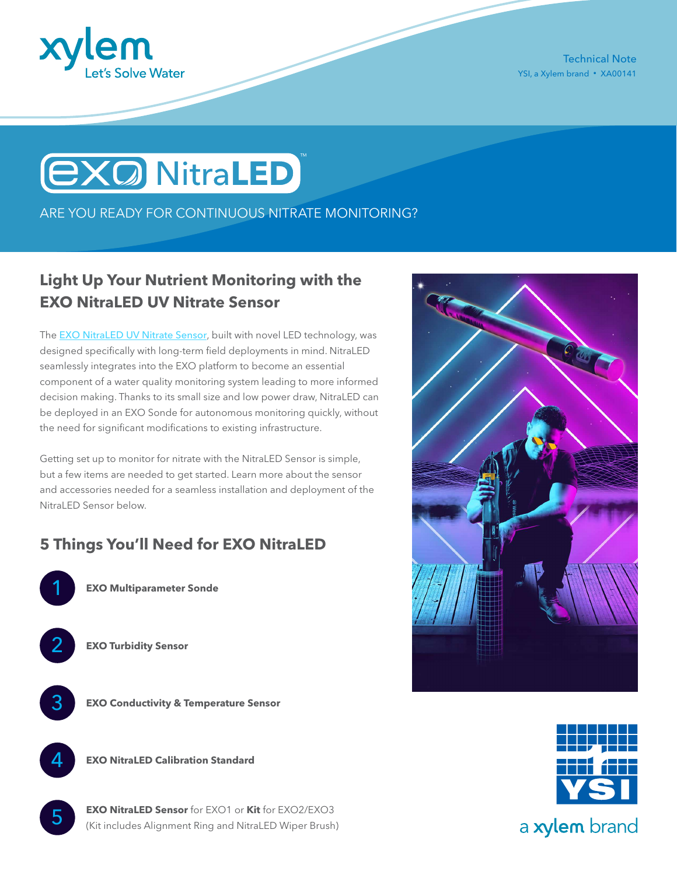

Technical Note YSI, a Xylem brand • XA00141



ARE YOU READY FOR CONTINUOUS NITRATE MONITORING?

# **Light Up Your Nutrient Monitoring with the EXO NitraLED UV Nitrate Sensor**

The [EXO NitraLED UV Nitrate Sensor](https://www.ysi.com/nitraled), built with novel LED technology, was designed specifically with long-term field deployments in mind. NitraLED seamlessly integrates into the EXO platform to become an essential component of a water quality monitoring system leading to more informed decision making. Thanks to its small size and low power draw, NitraLED can be deployed in an EXO Sonde for autonomous monitoring quickly, without the need for significant modifications to existing infrastructure.

Getting set up to monitor for nitrate with the NitraLED Sensor is simple, but a few items are needed to get started. Learn more about the sensor and accessories needed for a seamless installation and deployment of the NitraLED Sensor below.

## **5 Things You'll Need for EXO NitraLED**



**EXO Multiparameter Sonde**



**EXO Turbidity Sensor**



**EXO Conductivity & Temperature Sensor**



5

**EXO NitraLED Calibration Standard**

**EXO NitraLED Sensor** for EXO1 or **Kit** for EXO2/EXO3 (Kit includes Alignment Ring and NitraLED Wiper Brush)





a xylem brand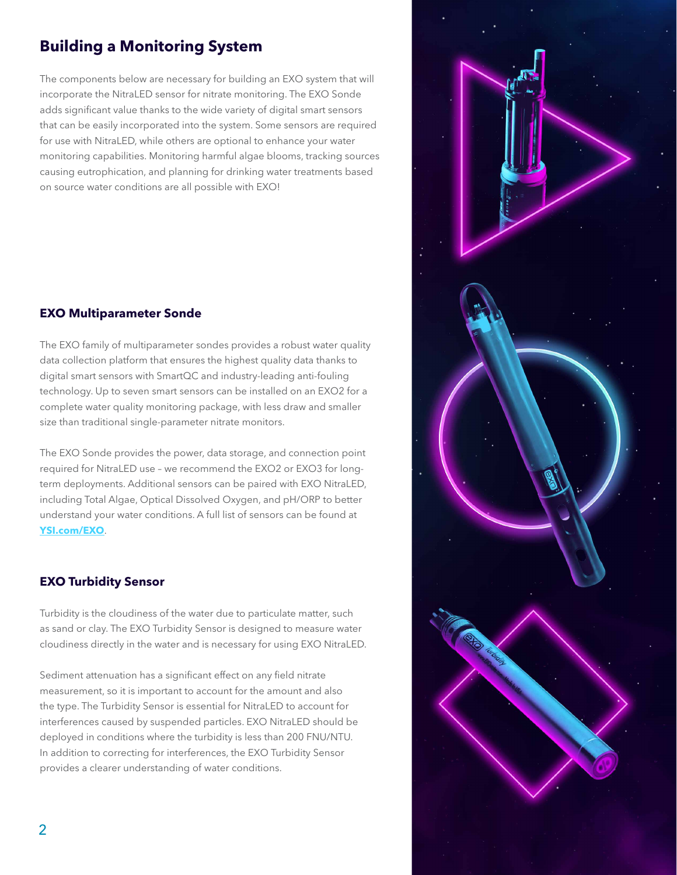## **Building a Monitoring System**

The components below are necessary for building an EXO system that will incorporate the NitraLED sensor for nitrate monitoring. The EXO Sonde adds significant value thanks to the wide variety of digital smart sensors that can be easily incorporated into the system. Some sensors are required for use with NitraLED, while others are optional to enhance your water monitoring capabilities. Monitoring harmful algae blooms, tracking sources causing eutrophication, and planning for drinking water treatments based on source water conditions are all possible with EXO!

### **EXO Multiparameter Sonde**

The EXO family of multiparameter sondes provides a robust water quality data collection platform that ensures the highest quality data thanks to digital smart sensors with SmartQC and industry-leading anti-fouling technology. Up to seven smart sensors can be installed on an EXO2 for a complete water quality monitoring package, with less draw and smaller size than traditional single-parameter nitrate monitors.

The EXO Sonde provides the power, data storage, and connection point required for NitraLED use – we recommend the EXO2 or EXO3 for longterm deployments. Additional sensors can be paired with EXO NitraLED, including Total Algae, Optical Dissolved Oxygen, and pH/ORP to better understand your water conditions. A full list of sensors can be found at **[YSI.com/EXO](https://www.ysi.com/exo)**.

### **EXO Turbidity Sensor**

Turbidity is the cloudiness of the water due to particulate matter, such as sand or clay. The EXO Turbidity Sensor is designed to measure water cloudiness directly in the water and is necessary for using EXO NitraLED.

Sediment attenuation has a significant effect on any field nitrate measurement, so it is important to account for the amount and also the type. The Turbidity Sensor is essential for NitraLED to account for interferences caused by suspended particles. EXO NitraLED should be deployed in conditions where the turbidity is less than 200 FNU/NTU. In addition to correcting for interferences, the EXO Turbidity Sensor provides a clearer understanding of water conditions.

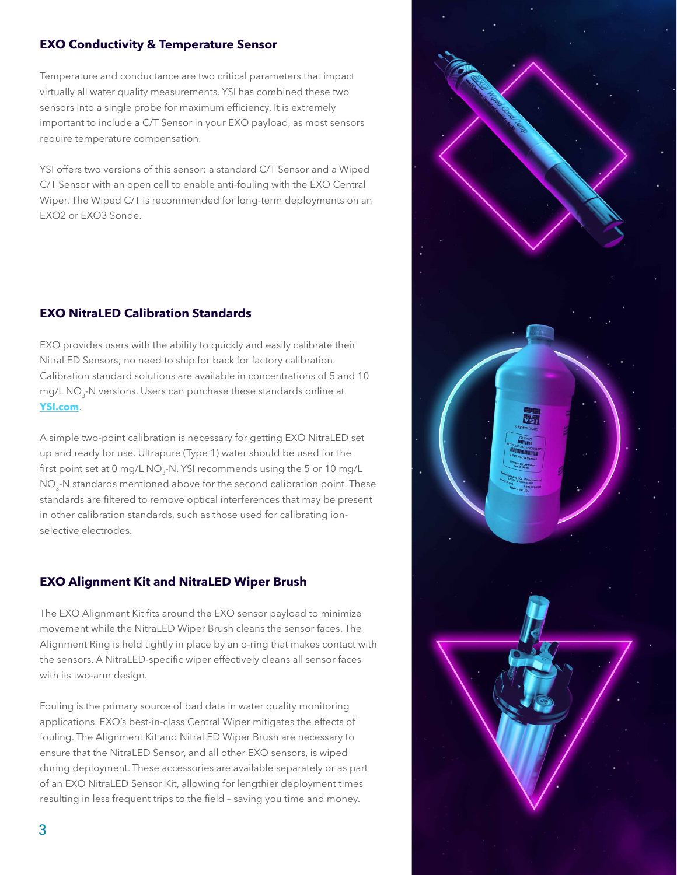#### **EXO Conductivity & Temperature Sensor**

Temperature and conductance are two critical parameters that impact virtually all water quality measurements. YSI has combined these two sensors into a single probe for maximum efficiency. It is extremely important to include a C/T Sensor in your EXO payload, as most sensors require temperature compensation.

YSI offers two versions of this sensor: a standard C/T Sensor and a Wiped C/T Sensor with an open cell to enable anti-fouling with the EXO Central Wiper. The Wiped C/T is recommended for long-term deployments on an EXO2 or EXO3 Sonde.

## **EXO NitraLED Calibration Standards**

EXO provides users with the ability to quickly and easily calibrate their NitraLED Sensors; no need to ship for back for factory calibration. Calibration standard solutions are available in concentrations of 5 and 10 mg/L NO<sub>3</sub>-N versions. Users can purchase these standards online at **[YSI.com](http://YSI.com)**.

A simple two-point calibration is necessary for getting EXO NitraLED set up and ready for use. Ultrapure (Type 1) water should be used for the first point set at  $0 \text{ mg/L NO}_3$ -N. YSI recommends using the 5 or 10 mg/L NO<sub>3</sub>-N standards mentioned above for the second calibration point. These standards are filtered to remove optical interferences that may be present in other calibration standards, such as those used for calibrating ionselective electrodes.

### **EXO Alignment Kit and NitraLED Wiper Brush**

The EXO Alignment Kit fits around the EXO sensor payload to minimize movement while the NitraLED Wiper Brush cleans the sensor faces. The Alignment Ring is held tightly in place by an o-ring that makes contact with the sensors. A NitraLED-specific wiper effectively cleans all sensor faces with its two-arm design.

Fouling is the primary source of bad data in water quality monitoring applications. EXO's best-in-class Central Wiper mitigates the effects of fouling. The Alignment Kit and NitraLED Wiper Brush are necessary to ensure that the NitraLED Sensor, and all other EXO sensors, is wiped during deployment. These accessories are available separately or as part of an EXO NitraLED Sensor Kit, allowing for lengthier deployment times resulting in less frequent trips to the field – saving you time and money.